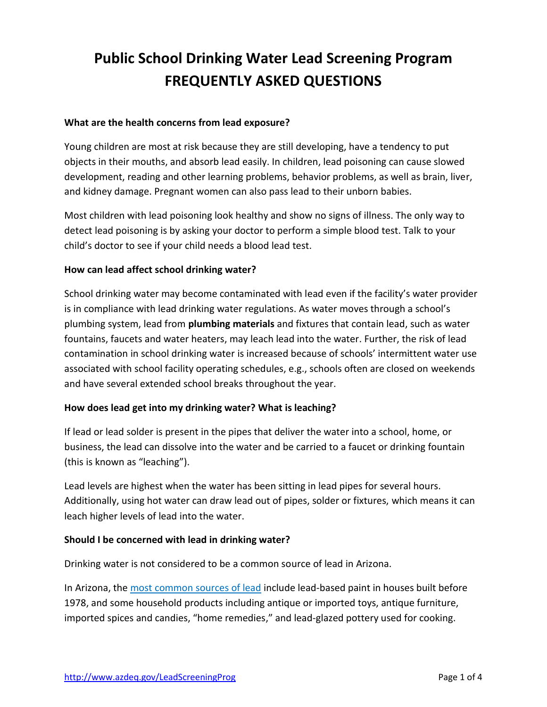# **Public School Drinking Water Lead Screening Program FREQUENTLY ASKED QUESTIONS**

## **What are the health concerns from lead exposure?**

Young children are most at risk because they are still developing, have a tendency to put objects in their mouths, and absorb lead easily. In children, lead poisoning can cause slowed development, reading and other learning problems, behavior problems, as well as brain, liver, and kidney damage. Pregnant women can also pass lead to their unborn babies.

Most children with lead poisoning look healthy and show no signs of illness. The only way to detect lead poisoning is by asking your doctor to perform a simple blood test. Talk to your child's doctor to see if your child needs a blood lead test.

#### **How can lead affect school drinking water?**

School drinking water may become contaminated with lead even if the facility's water provider is in compliance with lead drinking water regulations. As water moves through a school's plumbing system, lead from **plumbing materials** and fixtures that contain lead, such as water fountains, faucets and water heaters, may leach lead into the water. Further, the risk of lead contamination in school drinking water is increased because of schools' intermittent water use associated with school facility operating schedules, e.g., schools often are closed on weekends and have several extended school breaks throughout the year.

# **How does lead get into my drinking water? What is leaching?**

If lead or lead solder is present in the pipes that deliver the water into a school, home, or business, the lead can dissolve into the water and be carried to a faucet or drinking fountain (this is known as "leaching").

Lead levels are highest when the water has been sitting in lead pipes for several hours. Additionally, using hot water can draw lead out of pipes, solder or fixtures, which means it can leach higher levels of lead into the water.

# **Should I be concerned with lead in drinking water?**

Drinking water is not considered to be a common source of lead in Arizona.

In Arizona, the [most common sources of lead](http://azdhs.gov/preparedness/epidemiology-disease-control/childhood-lead/index.php#parent-sources) include lead-based paint in houses built before 1978, and some household products including antique or imported toys, antique furniture, imported spices and candies, "home remedies," and lead-glazed pottery used for cooking.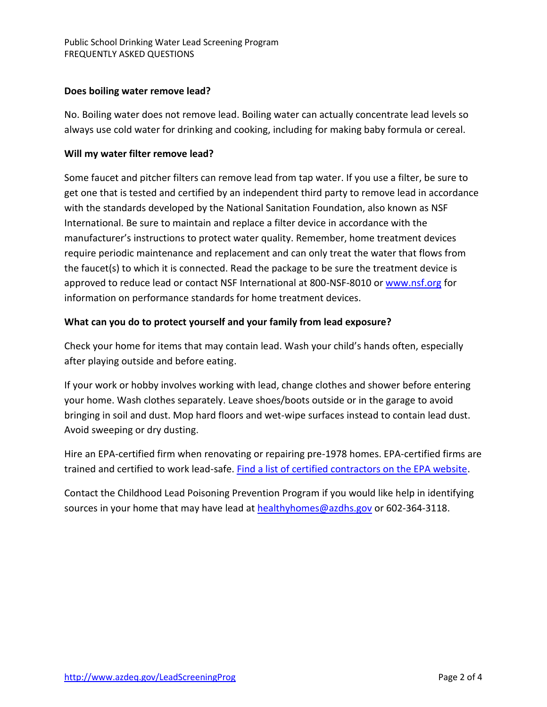## **Does boiling water remove lead?**

No. Boiling water does not remove lead. Boiling water can actually concentrate lead levels so always use cold water for drinking and cooking, including for making baby formula or cereal.

### **Will my water filter remove lead?**

Some faucet and pitcher filters can remove lead from tap water. If you use a filter, be sure to get one that is tested and certified by an independent third party to remove lead in accordance with the standards developed by the National Sanitation Foundation, also known as NSF International. Be sure to maintain and replace a filter device in accordance with the manufacturer's instructions to protect water quality. Remember, home treatment devices require periodic maintenance and replacement and can only treat the water that flows from the faucet(s) to which it is connected. Read the package to be sure the treatment device is approved to reduce lead or contact NSF International at 800-NSF-8010 o[r www.nsf.org](http://www.nsf.org/) for information on performance standards for home treatment devices.

## **What can you do to protect yourself and your family from lead exposure?**

Check your home for items that may contain lead. Wash your child's hands often, especially after playing outside and before eating.

If your work or hobby involves working with lead, change clothes and shower before entering your home. Wash clothes separately. Leave shoes/boots outside or in the garage to avoid bringing in soil and dust. Mop hard floors and wet-wipe surfaces instead to contain lead dust. Avoid sweeping or dry dusting.

Hire an EPA-certified firm when renovating or repairing pre-1978 homes. EPA-certified firms are trained and certified to work lead-safe. [Find a list of certified contractors on the EPA website.](https://cfpub.epa.gov/flpp/pub/index.cfm?do=main.firmSearch)

Contact the Childhood Lead Poisoning Prevention Program if you would like help in identifying sources in your home that may have lead at [healthyhomes@azdhs.gov](mailto:healthyhomes@azdhs.gov) or 602-364-3118.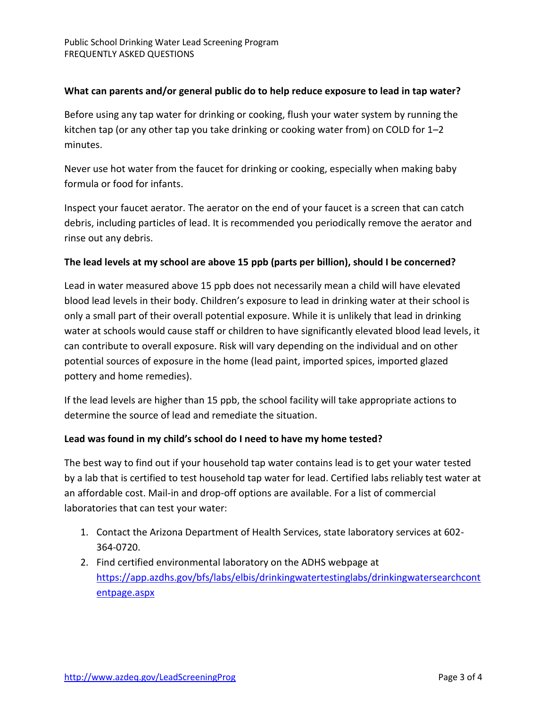## **What can parents and/or general public do to help reduce exposure to lead in tap water?**

Before using any tap water for drinking or cooking, flush your water system by running the kitchen tap (or any other tap you take drinking or cooking water from) on COLD for 1–2 minutes.

Never use hot water from the faucet for drinking or cooking, especially when making baby formula or food for infants.

Inspect your faucet aerator. The aerator on the end of your faucet is a screen that can catch debris, including particles of lead. It is recommended you periodically remove the aerator and rinse out any debris.

#### **The lead levels at my school are above 15 ppb (parts per billion), should I be concerned?**

Lead in water measured above 15 ppb does not necessarily mean a child will have elevated blood lead levels in their body. Children's exposure to lead in drinking water at their school is only a small part of their overall potential exposure. While it is unlikely that lead in drinking water at schools would cause staff or children to have significantly elevated blood lead levels, it can contribute to overall exposure. Risk will vary depending on the individual and on other potential sources of exposure in the home (lead paint, imported spices, imported glazed pottery and home remedies).

If the lead levels are higher than 15 ppb, the school facility will take appropriate actions to determine the source of lead and remediate the situation.

#### **Lead was found in my child's school do I need to have my home tested?**

The best way to find out if your household tap water contains lead is to get your water tested by a lab that is certified to test household tap water for lead. Certified labs reliably test water at an affordable cost. Mail-in and drop-off options are available. For a list of commercial laboratories that can test your water:

- 1. Contact the Arizona Department of Health Services, state laboratory services at 602- 364-0720.
- 2. Find certified environmental laboratory on the ADHS webpage at [https://app.azdhs.gov/bfs/labs/elbis/drinkingwatertestinglabs/drinkingwatersearchcont](https://app.azdhs.gov/bfs/labs/elbis/drinkingwatertestinglabs/drinkingwatersearchcontentpage.aspx) [entpage.aspx](https://app.azdhs.gov/bfs/labs/elbis/drinkingwatertestinglabs/drinkingwatersearchcontentpage.aspx)